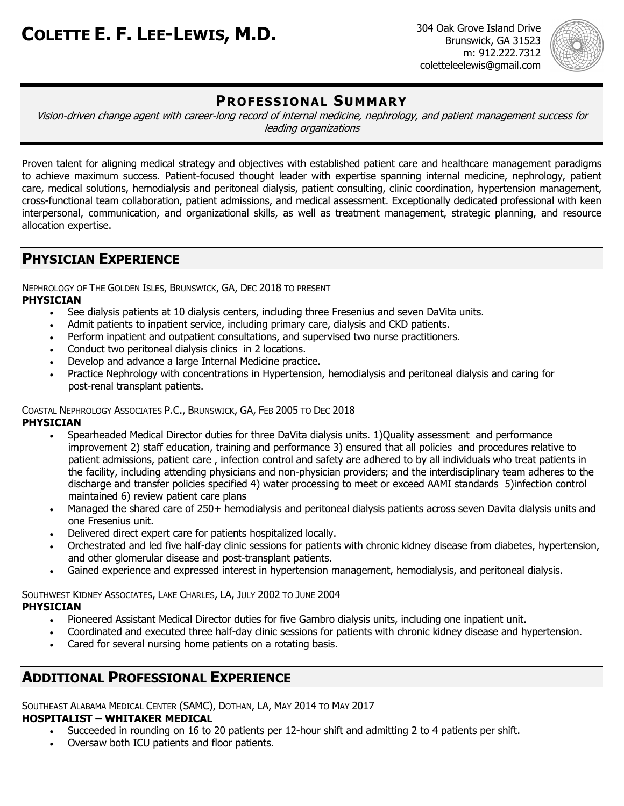Brunswick, GA 31523 m: 912.222.7312 coletteleelewis@gmail.com



# **PROFESSIONAL SUMMARY**

Vision-driven change agent with career-long record of internal medicine, nephrology, and patient management success for leading organizations

Proven talent for aligning medical strategy and objectives with established patient care and healthcare management paradigms to achieve maximum success. Patient-focused thought leader with expertise spanning internal medicine, nephrology, patient care, medical solutions, hemodialysis and peritoneal dialysis, patient consulting, clinic coordination, hypertension management, cross-functional team collaboration, patient admissions, and medical assessment. Exceptionally dedicated professional with keen interpersonal, communication, and organizational skills, as well as treatment management, strategic planning, and resource allocation expertise.

# **PHYSICIAN EXPERIENCE**

NEPHROLOGY OF THE GOLDEN ISLES, BRUNSWICK, GA, DEC 2018 TO PRESENT **PHYSICIAN**

- See dialysis patients at 10 dialysis centers, including three Fresenius and seven DaVita units.
- Admit patients to inpatient service, including primary care, dialysis and CKD patients.
- Perform inpatient and outpatient consultations, and supervised two nurse practitioners.
- Conduct two peritoneal dialysis clinics in 2 locations.
- Develop and advance a large Internal Medicine practice.
- Practice Nephrology with concentrations in Hypertension, hemodialysis and peritoneal dialysis and caring for post-renal transplant patients.

## COASTAL NEPHROLOGY ASSOCIATES P.C., BRUNSWICK, GA, FEB 2005 TO DEC 2018

#### **PHYSICIAN**

- Spearheaded Medical Director duties for three DaVita dialysis units. 1)Quality assessment and performance improvement 2) staff education, training and performance 3) ensured that all policies and procedures relative to patient admissions, patient care , infection control and safety are adhered to by all individuals who treat patients in the facility, including attending physicians and non-physician providers; and the interdisciplinary team adheres to the discharge and transfer policies specified 4) water processing to meet or exceed AAMI standards 5)infection control maintained 6) review patient care plans
- Managed the shared care of 250+ hemodialysis and peritoneal dialysis patients across seven Davita dialysis units and one Fresenius unit.
- Delivered direct expert care for patients hospitalized locally.
- Orchestrated and led five half-day clinic sessions for patients with chronic kidney disease from diabetes, hypertension, and other glomerular disease and post-transplant patients.
- Gained experience and expressed interest in hypertension management, hemodialysis, and peritoneal dialysis.

SOUTHWEST KIDNEY ASSOCIATES, LAKE CHARLES, LA, JULY 2002 TO JUNE 2004 **PHYSICIAN**

- Pioneered Assistant Medical Director duties for five Gambro dialysis units, including one inpatient unit.
- Coordinated and executed three half-day clinic sessions for patients with chronic kidney disease and hypertension.
- Cared for several nursing home patients on a rotating basis.

# **ADDITIONAL PROFESSIONAL EXPERIENCE**

SOUTHEAST ALABAMA MEDICAL CENTER (SAMC), DOTHAN, LA, MAY 2014 TO MAY 2017

## **HOSPITALIST – WHITAKER MEDICAL**

- Succeeded in rounding on 16 to 20 patients per 12-hour shift and admitting 2 to 4 patients per shift.
- Oversaw both ICU patients and floor patients.